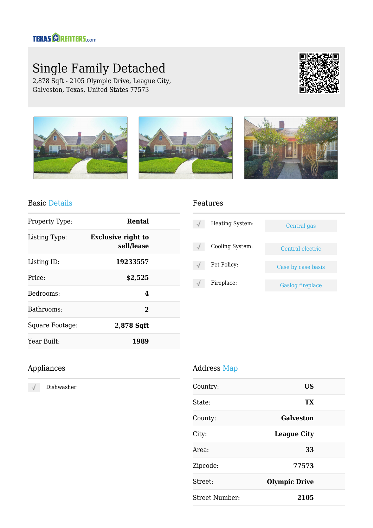## **TEHAS CORENTERS.com**

# Single Family Detached

2,878 Sqft - 2105 Olympic Drive, League City, Galveston, Texas, United States 77573





#### Basic Details

| Property Type:  | Rental                                  |  |
|-----------------|-----------------------------------------|--|
| Listing Type:   | <b>Exclusive right to</b><br>sell/lease |  |
| Listing ID:     | 19233557                                |  |
| Price:          | \$2,525                                 |  |
| Bedrooms:       | 4                                       |  |
| Bathrooms:      | $\mathcal{L}$                           |  |
| Square Footage: | 2,878 Sqft                              |  |
| Year Built:     | 1989                                    |  |

#### Features

| Heating System: | Central gas             |
|-----------------|-------------------------|
| Cooling System: | Central electric        |
| Pet Policy:     | Case by case basis      |
| Fireplace:      | <b>Gaslog fireplace</b> |

## Appliances

Dishwasher  $\sqrt{}$ 

### Address Map

| Country:       | US                   |  |
|----------------|----------------------|--|
| State:         | TX                   |  |
| County:        | Galveston            |  |
| City:          | <b>League City</b>   |  |
| Area:          | 33                   |  |
| Zipcode:       | 77573                |  |
| Street:        | <b>Olympic Drive</b> |  |
| Street Number: | 2105                 |  |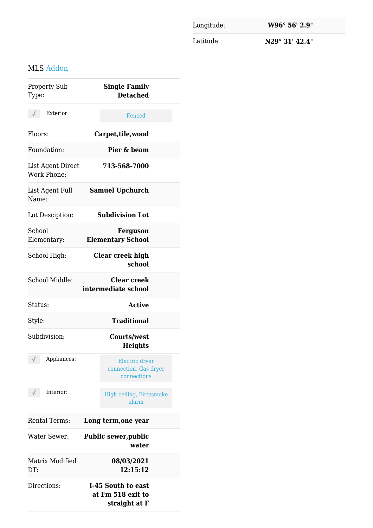Longitude: **W96° 56' 2.9''** Latitude: **N29° 31' 42.4''**

## MLS Addon

| <b>Property Sub</b><br>Type:            | <b>Single Family</b><br><b>Detached</b>                  |
|-----------------------------------------|----------------------------------------------------------|
| Exterior:<br>$\sqrt{}$                  | Fenced                                                   |
| Floors:                                 | Carpet, tile, wood                                       |
| Foundation:                             | Pier & beam                                              |
| List Agent Direct<br><b>Work Phone:</b> | 713-568-7000                                             |
| List Agent Full<br>Name:                | <b>Samuel Upchurch</b>                                   |
| Lot Desciption:                         | <b>Subdivision Lot</b>                                   |
| School<br>Elementary:                   | <b>Ferguson</b><br><b>Elementary School</b>              |
| School High:                            | Clear creek high<br>school                               |
| School Middle:                          | <b>Clear creek</b><br>intermediate school                |
| Status:                                 | <b>Active</b>                                            |
| Style:                                  | <b>Traditional</b>                                       |
| Subdivision:                            | <b>Courts/west</b><br><b>Heights</b>                     |
| $\sqrt{2}$<br>Appliances:               | Electric dryer<br>connection, Gas dryer<br>connections   |
| Interior:                               | High ceiling, Fire/smoke<br>alarm                        |
| <b>Rental Terms:</b>                    | Long term, one year                                      |
| <b>Water Sewer:</b>                     | <b>Public sewer, public</b><br>water                     |
| Matrix Modified<br>DT:                  | 08/03/2021<br>12:15:12                                   |
| Directions:                             | I-45 South to east<br>at Fm 518 exit to<br>straight at F |